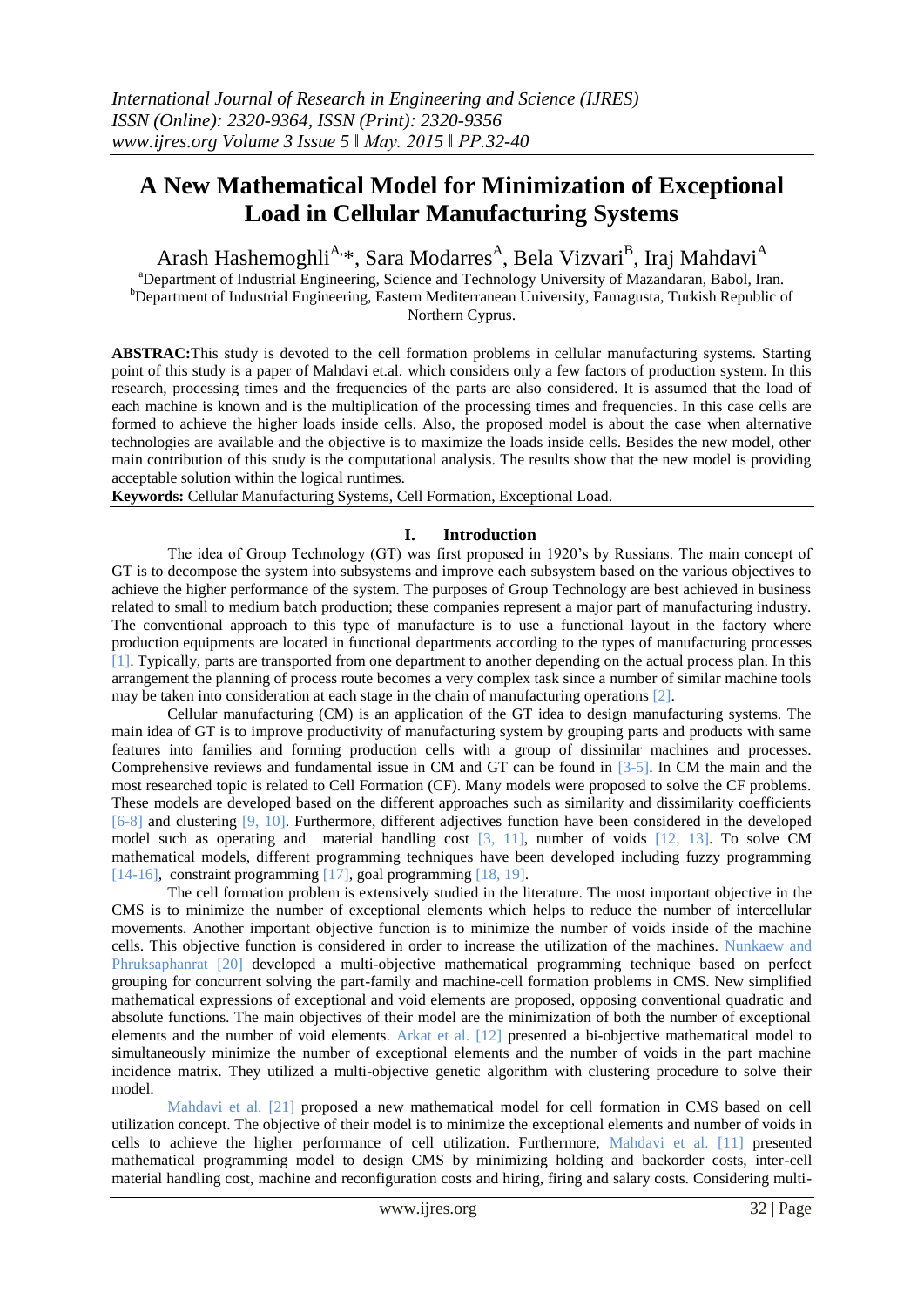# **A New Mathematical Model for Minimization of Exceptional Load in Cellular Manufacturing Systems**

Arash Hashemoghli<sup>A,</sup>\*, Sara Modarres<sup>A</sup>, Bela Vizvari<sup>B</sup>, Iraj Mahdavi<sup>A</sup> <sup>a</sup>Department of Industrial Engineering, Science and Technology University of Mazandaran, Babol, Iran. <sup>b</sup>Department of Industrial Engineering, Eastern Mediterranean University, Famagusta, Turkish Republic of Northern Cyprus.

**ABSTRAC:**This study is devoted to the cell formation problems in cellular manufacturing systems. Starting point of this study is a paper of Mahdavi et.al. which considers only a few factors of production system. In this research, processing times and the frequencies of the parts are also considered. It is assumed that the load of each machine is known and is the multiplication of the processing times and frequencies. In this case cells are formed to achieve the higher loads inside cells. Also, the proposed model is about the case when alternative technologies are available and the objective is to maximize the loads inside cells. Besides the new model, other main contribution of this study is the computational analysis. The results show that the new model is providing acceptable solution within the logical runtimes.

**Keywords:** Cellular Manufacturing Systems, Cell Formation, Exceptional Load.

## **I. Introduction**

The idea of Group Technology (GT) was first proposed in 1920's by Russians. The main concept of GT is to decompose the system into subsystems and improve each subsystem based on the various objectives to achieve the higher performance of the system. The purposes of Group Technology are best achieved in business related to small to medium batch production; these companies represent a major part of manufacturing industry. The conventional approach to this type of manufacture is to use a functional layout in the factory where production equipments are located in functional departments according to the types of manufacturing processes [\[1\]](#page-4-0). Typically, parts are transported from one department to another depending on the actual process plan. In this arrangement the planning of process route becomes a very complex task since a number of similar machine tools may be taken into consideration at each stage in the chain of manufacturing operations [\[2\]](#page-4-1).

Cellular manufacturing (CM) is an application of the GT idea to design manufacturing systems. The main idea of GT is to improve productivity of manufacturing system by grouping parts and products with same features into families and forming production cells with a group of dissimilar machines and processes. Comprehensive reviews and fundamental issue in CM and GT can be found in [\[3-5\]](#page-4-2). In CM the main and the most researched topic is related to Cell Formation (CF). Many models were proposed to solve the CF problems. These models are developed based on the different approaches such as similarity and dissimilarity coefficients [\[6-8\]](#page-4-3) and clustering [\[9,](#page-4-4) [10\]](#page-4-5). Furthermore, different adjectives function have been considered in the developed model such as operating and material handling cost [\[3,](#page-4-2) [11\]](#page-4-6), number of voids [\[12,](#page-4-7) [13\]](#page-4-8). To solve CM mathematical models, different programming techniques have been developed including fuzzy programming [\[14-16\]](#page-4-9), constraint programming [\[17\]](#page-5-0), goal programming [\[18,](#page-5-1) [19\]](#page-5-2).

The cell formation problem is extensively studied in the literature. The most important objective in the CMS is to minimize the number of exceptional elements which helps to reduce the number of intercellular movements. Another important objective function is to minimize the number of voids inside of the machine cells. This objective function is considered in order to increase the utilization of the machines. Nunkaew and Phruksaphanrat [\[20\]](#page-5-3) developed a multi-objective mathematical programming technique based on perfect grouping for concurrent solving the part-family and machine-cell formation problems in CMS. New simplified mathematical expressions of exceptional and void elements are proposed, opposing conventional quadratic and absolute functions. The main objectives of their model are the minimization of both the number of exceptional elements and the number of void elements. Arkat et al. [\[12\]](#page-4-7) presented a bi-objective mathematical model to simultaneously minimize the number of exceptional elements and the number of voids in the part machine incidence matrix. They utilized a multi-objective genetic algorithm with clustering procedure to solve their model.

Mahdavi et al. [\[21\]](#page-5-4) proposed a new mathematical model for cell formation in CMS based on cell utilization concept. The objective of their model is to minimize the exceptional elements and number of voids in cells to achieve the higher performance of cell utilization. Furthermore, Mahdavi et al. [\[11\]](#page-4-6) presented mathematical programming model to design CMS by minimizing holding and backorder costs, inter-cell material handling cost, machine and reconfiguration costs and hiring, firing and salary costs. Considering multi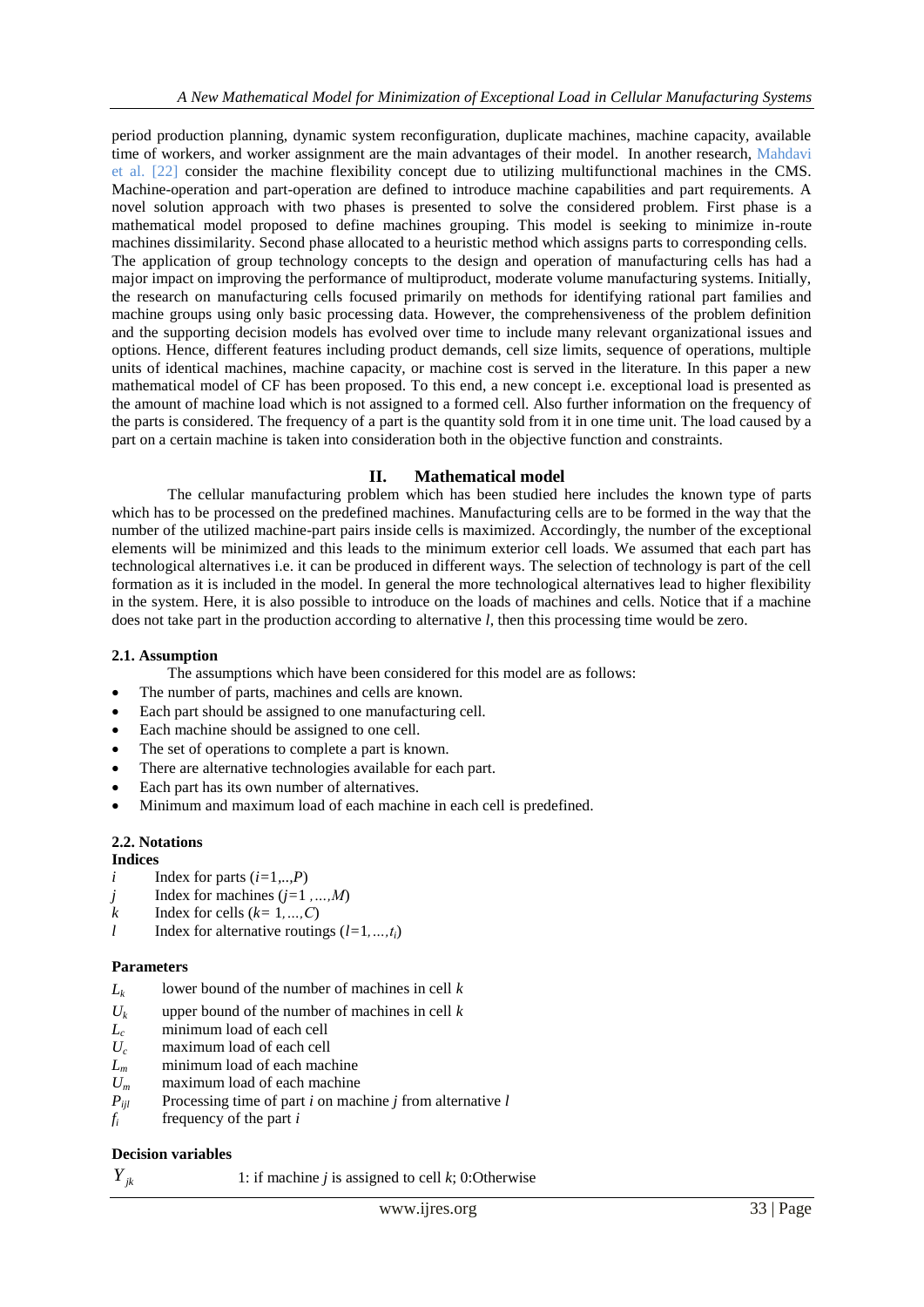period production planning, dynamic system reconfiguration, duplicate machines, machine capacity, available time of workers, and worker assignment are the main advantages of their model. In another research, Mahdavi et al. [\[22\]](#page-5-5) consider the machine flexibility concept due to utilizing multifunctional machines in the CMS. Machine-operation and part-operation are defined to introduce machine capabilities and part requirements. A novel solution approach with two phases is presented to solve the considered problem. First phase is a mathematical model proposed to define machines grouping. This model is seeking to minimize in-route machines dissimilarity. Second phase allocated to a heuristic method which assigns parts to corresponding cells. The application of group technology concepts to the design and operation of manufacturing cells has had a major impact on improving the performance of multiproduct, moderate volume manufacturing systems. Initially, the research on manufacturing cells focused primarily on methods for identifying rational part families and machine groups using only basic processing data. However, the comprehensiveness of the problem definition and the supporting decision models has evolved over time to include many relevant organizational issues and options. Hence, different features including product demands, cell size limits, sequence of operations, multiple units of identical machines, machine capacity, or machine cost is served in the literature. In this paper a new mathematical model of CF has been proposed. To this end, a new concept i.e. exceptional load is presented as the amount of machine load which is not assigned to a formed cell. Also further information on the frequency of the parts is considered. The frequency of a part is the quantity sold from it in one time unit. The load caused by a part on a certain machine is taken into consideration both in the objective function and constraints.

## **II. Mathematical model**

The cellular manufacturing problem which has been studied here includes the known type of parts which has to be processed on the predefined machines. Manufacturing cells are to be formed in the way that the number of the utilized machine-part pairs inside cells is maximized. Accordingly, the number of the exceptional elements will be minimized and this leads to the minimum exterior cell loads. We assumed that each part has technological alternatives i.e. it can be produced in different ways. The selection of technology is part of the cell formation as it is included in the model. In general the more technological alternatives lead to higher flexibility in the system. Here, it is also possible to introduce on the loads of machines and cells. Notice that if a machine does not take part in the production according to alternative *l*, then this processing time would be zero.

## **2.1. Assumption**

- The assumptions which have been considered for this model are as follows:
- The number of parts, machines and cells are known.
- Each part should be assigned to one manufacturing cell.
- Each machine should be assigned to one cell.
- The set of operations to complete a part is known.
- There are alternative technologies available for each part.
- Each part has its own number of alternatives.
- Minimum and maximum load of each machine in each cell is predefined.

## **2.2. Notations**

## **Indices**

- *i* Index for parts  $(i=1,..,P)$
- *j* Index for machines (*j=*1 *,…,M*)
- *k* Index for cells  $(k=1,...,C)$
- *l* Index for alternative routings  $(l=1,...,t_i)$

## **Parameters**

- $L_k$ lower bound of the number of machines in cell *k*
- $U_k$  upper bound of the number of machines in cell *k* minimum load of each cell
- $L_c$  minimum load of each cell<br> $U_c$  maximum load of each cell
- $U_c$  maximum load of each cell<br> $L_m$  minimum load of each mac
- minimum load of each machine
- $U_m$  maximum load of each machine
- $P_{ijl}$  Processing time of part *i* on machine *j* from alternative *l* frequency of the part *i*
- *f<sup>i</sup>* frequency of the part *i*

## **Decision variables**

*Yjk*

1: if machine *j* is assigned to cell *k*; 0:Otherwise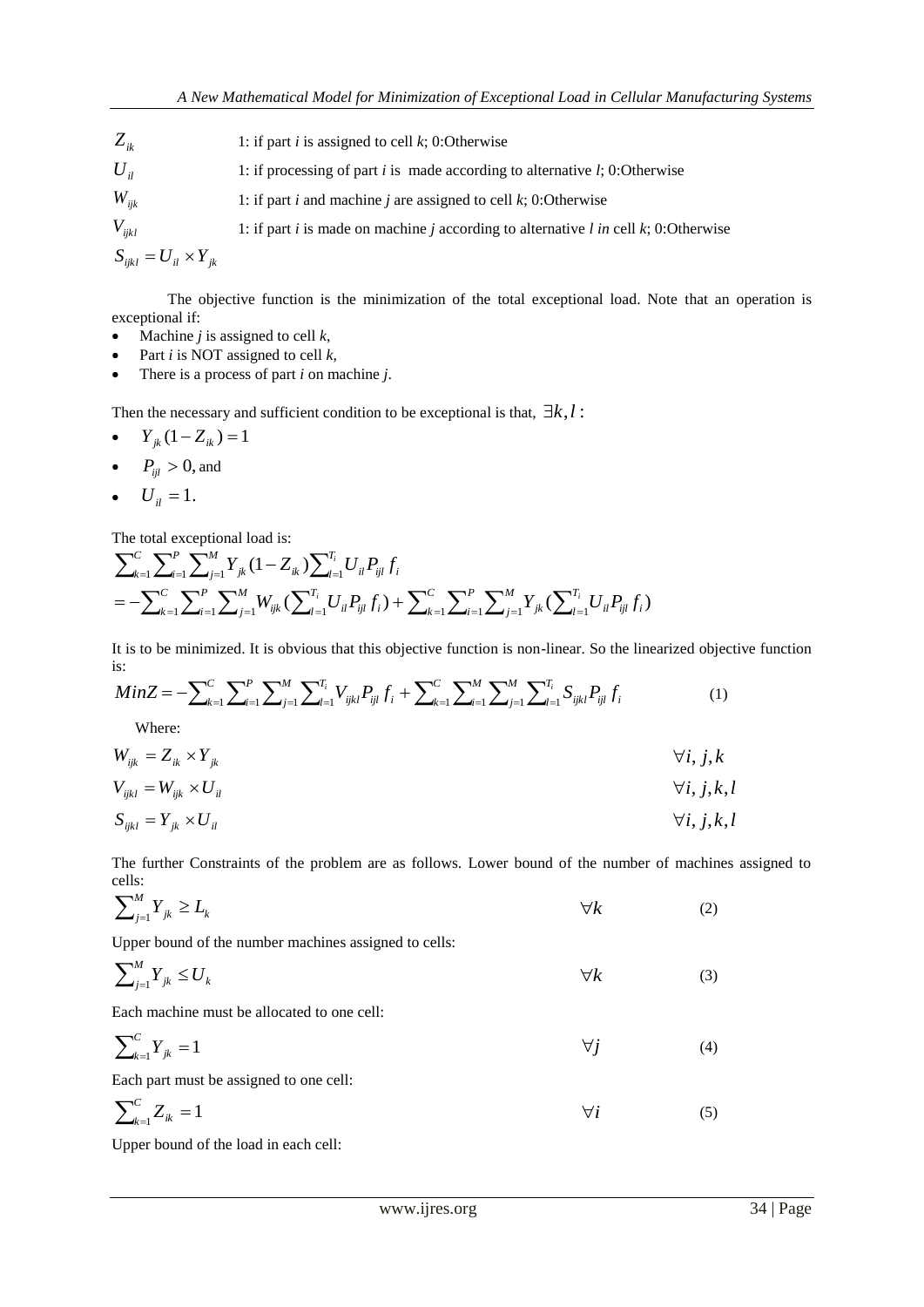| $Z_{ik}$                          | 1: if part <i>i</i> is assigned to cell $k$ ; 0: Otherwise                                                        |
|-----------------------------------|-------------------------------------------------------------------------------------------------------------------|
| $U_{ii}$                          | 1: if processing of part i is made according to alternative $l$ ; 0: Otherwise                                    |
| $W_{ijk}$                         | 1: if part <i>i</i> and machine <i>j</i> are assigned to cell $k$ ; 0: Otherwise                                  |
| $V_{ijkl}$                        | 1: if part <i>i</i> is made on machine <i>j</i> according to alternative <i>l</i> in cell <i>k</i> ; 0: Otherwise |
| $S_{ijkl} = U_{il} \times Y_{ik}$ |                                                                                                                   |

The objective function is the minimization of the total exceptional load. Note that an operation is exceptional if:

- Machine *j* is assigned to cell *k*,
- Part *i* is NOT assigned to cell *k*,
- There is a process of part *i* on machine *j*.

Then the necessary and sufficient condition to be exceptional is that,  $\exists k, l$ :

$$
\bullet \qquad Y_{jk}(1-Z_{ik})=1
$$

• 
$$
P_{ijl} > 0
$$
, and

$$
\bullet \quad U_{il}=1.
$$

The total exceptional load is:

$$
\sum_{k=1}^{C} \sum_{i=1}^{P} \sum_{j=1}^{M} Y_{jk} (1 - Z_{ik}) \sum_{l=1}^{T_i} U_{il} P_{ijl} f_i
$$
  
= 
$$
- \sum_{k=1}^{C} \sum_{i=1}^{P} \sum_{j=1}^{M} W_{ijk} (\sum_{l=1}^{T_i} U_{il} P_{ijl} f_i) + \sum_{k=1}^{C} \sum_{i=1}^{P} \sum_{j=1}^{M} Y_{jk} (\sum_{l=1}^{T_i} U_{il} P_{ijl} f_i)
$$

It is to be minimized. It is obvious that this objective function is non-linear. So the linearized objective function is:

$$
MinZ = -\sum_{k=1}^{C} \sum_{i=1}^{P} \sum_{j=1}^{M} \sum_{j=1}^{T_i} V_{ijkl} P_{ijl} f_i + \sum_{k=1}^{C} \sum_{i=1}^{M} \sum_{j=1}^{M} \sum_{j=1}^{T_i} S_{ijkl} P_{ijl} f_i
$$
(1)

Where:

$$
W_{ijk} = Z_{ik} \times Y_{jk} \qquad \qquad \forall i, j, k
$$

$$
V_{ijkl} = W_{ijk} \times U_{il} \qquad \qquad \forall i, j, k, l
$$

$$
S_{ijkl} = Y_{jk} \times U_{il} \qquad \qquad \forall i, j, k, l
$$

The further Constraints of the problem are as follows. Lower bound of the number of machines assigned to cells:

$$
\sum_{j=1}^{M} Y_{jk} \geq L_k \tag{2}
$$

Upper bound of the number machines assigned to cells:

$$
\sum_{j=1}^{M} Y_{jk} \le U_k \tag{3}
$$

Each machine must be allocated to one cell:

$$
\sum_{k=1}^{C} Y_{jk} = 1 \tag{4}
$$

Each part must be assigned to one cell:

$$
\sum_{k=1}^{C} Z_{ik} = 1 \tag{5}
$$

Upper bound of the load in each cell: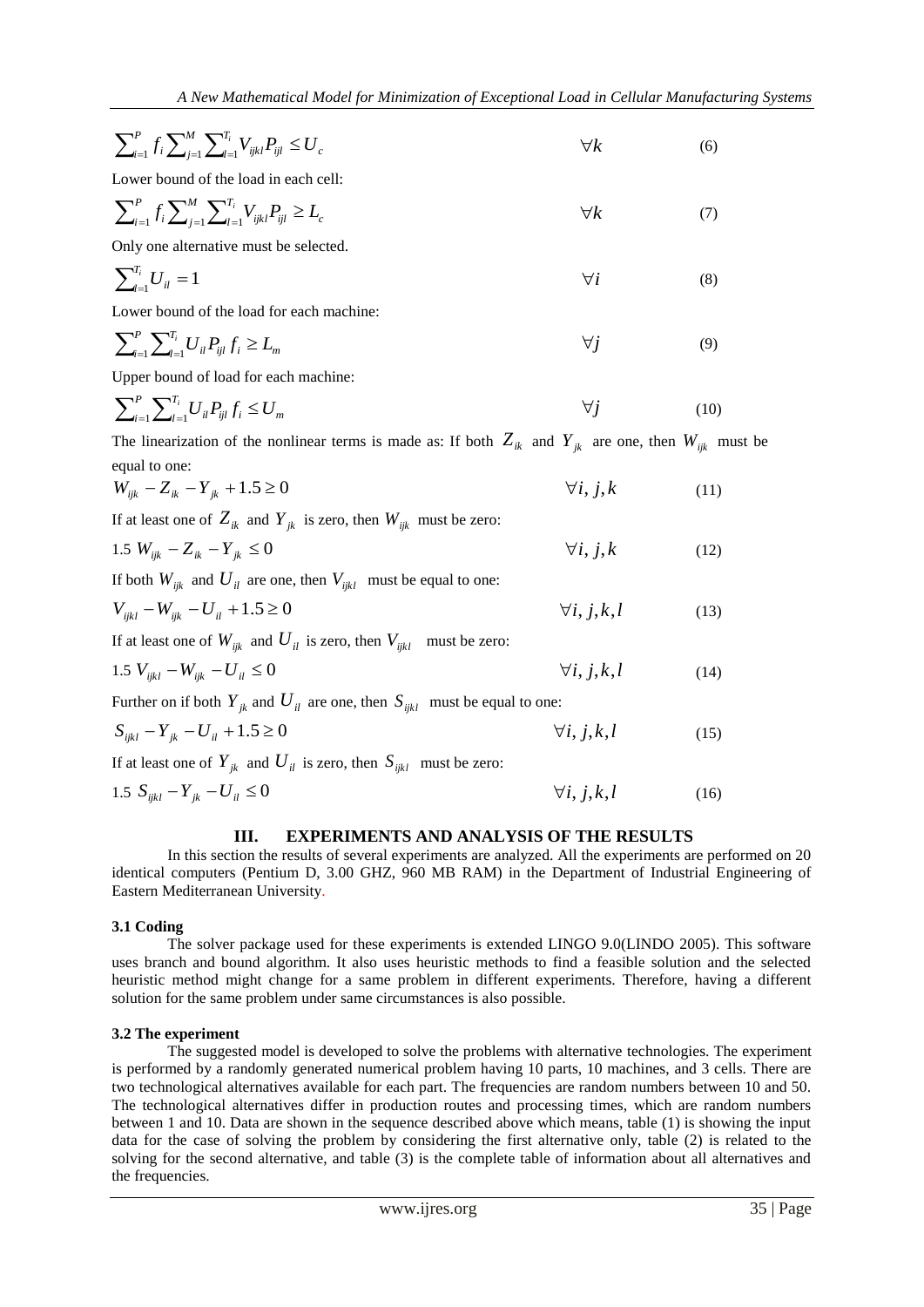$$
\sum_{i=1}^{P} f_i \sum_{j=1}^{M} \sum_{l=1}^{T_i} V_{ijkl} P_{ijl} \le U_c
$$
\nLower bound of the load in each cell:

\n
$$
[Q_{ij}]
$$

Lower bound of the load in each cell:

$$
\sum_{i=1}^{P} f_i \sum_{j=1}^{M} \sum_{l=1}^{T_i} V_{ijkl} P_{ijl} \ge L_c
$$
\n(7)

Only one alternative must be selected.

$$
\sum_{i=1}^{T_i} U_{ii} = 1 \tag{8}
$$

Lower bound of the load for each machine:

$$
\sum_{i=1}^{P} \sum_{l=1}^{T_i} U_{il} P_{ijl} f_i \ge L_m \qquad \qquad \forall j \tag{9}
$$

Upper bound of load for each machine:

$$
\sum_{i=1}^{P} \sum_{l=1}^{T_i} U_{il} P_{ijl} f_i \le U_m \qquad \qquad \forall j \qquad \qquad (10)
$$

The linearization of the nonlinear terms is made as: If both  $Z_{ik}$  and  $Y_{jk}$  are one, then  $W_{ijk}$  must be equal to one:

$$
W_{ijk} - Z_{ik} - Y_{jk} + 1.5 \ge 0 \qquad \forall i, j, k \qquad (11)
$$

If at least one of  $Z_{ik}$  and  $Y_{jk}$  is zero, then  $W_{ijk}$  must be zero:

1.5 
$$
W_{ijk} - Z_{ik} - Y_{jk} \le 0
$$
  $\forall i, j, k$  (12)

If both  $W_{ijk}$  and  $U_{il}$  are one, then  $V_{ijkl}$  must be equal to one:

$$
V_{ijkl} - W_{ijk} - U_{il} + 1.5 \ge 0 \qquad \qquad \forall i, j, k, l \qquad (13)
$$

If at least one of  $W_{ijk}$  and  $U_{il}$  is zero, then  $V_{ijkl}$  must be zero:

$$
1.5\ V_{ijkl} - W_{ijk} - U_{il} \le 0 \qquad \qquad \forall i, j, k, l \tag{14}
$$

Further on if both  $Y_{jk}$  and  $U_{il}$  are one, then  $S_{ijkl}$  must be equal to one:

$$
S_{ijkl} - Y_{jk} - U_{il} + 1.5 \ge 0 \qquad \qquad \forall i, j, k, l \tag{15}
$$

If at least one of  $Y_{jk}$  and  $U_{il}$  is zero, then  $S_{ijkl}$  must be zero:

$$
1.5 S_{ijkl} - Y_{jk} - U_{il} \le 0 \qquad \qquad \forall i, j, k, l \tag{16}
$$

## **III. EXPERIMENTS AND ANALYSIS OF THE RESULTS**

In this section the results of several experiments are analyzed. All the experiments are performed on 20 identical computers (Pentium D, 3.00 GHZ, 960 MB RAM) in the Department of Industrial Engineering of Eastern Mediterranean University.

## **3.1 Coding**

The solver package used for these experiments is extended LINGO 9.0(LINDO 2005). This software uses branch and bound algorithm. It also uses heuristic methods to find a feasible solution and the selected heuristic method might change for a same problem in different experiments. Therefore, having a different solution for the same problem under same circumstances is also possible.

## **3.2 The experiment**

The suggested model is developed to solve the problems with alternative technologies. The experiment is performed by a randomly generated numerical problem having 10 parts, 10 machines, and 3 cells. There are two technological alternatives available for each part. The frequencies are random numbers between 10 and 50. The technological alternatives differ in production routes and processing times, which are random numbers between 1 and 10. Data are shown in the sequence described above which means, table (1) is showing the input data for the case of solving the problem by considering the first alternative only, table (2) is related to the solving for the second alternative, and table (3) is the complete table of information about all alternatives and the frequencies.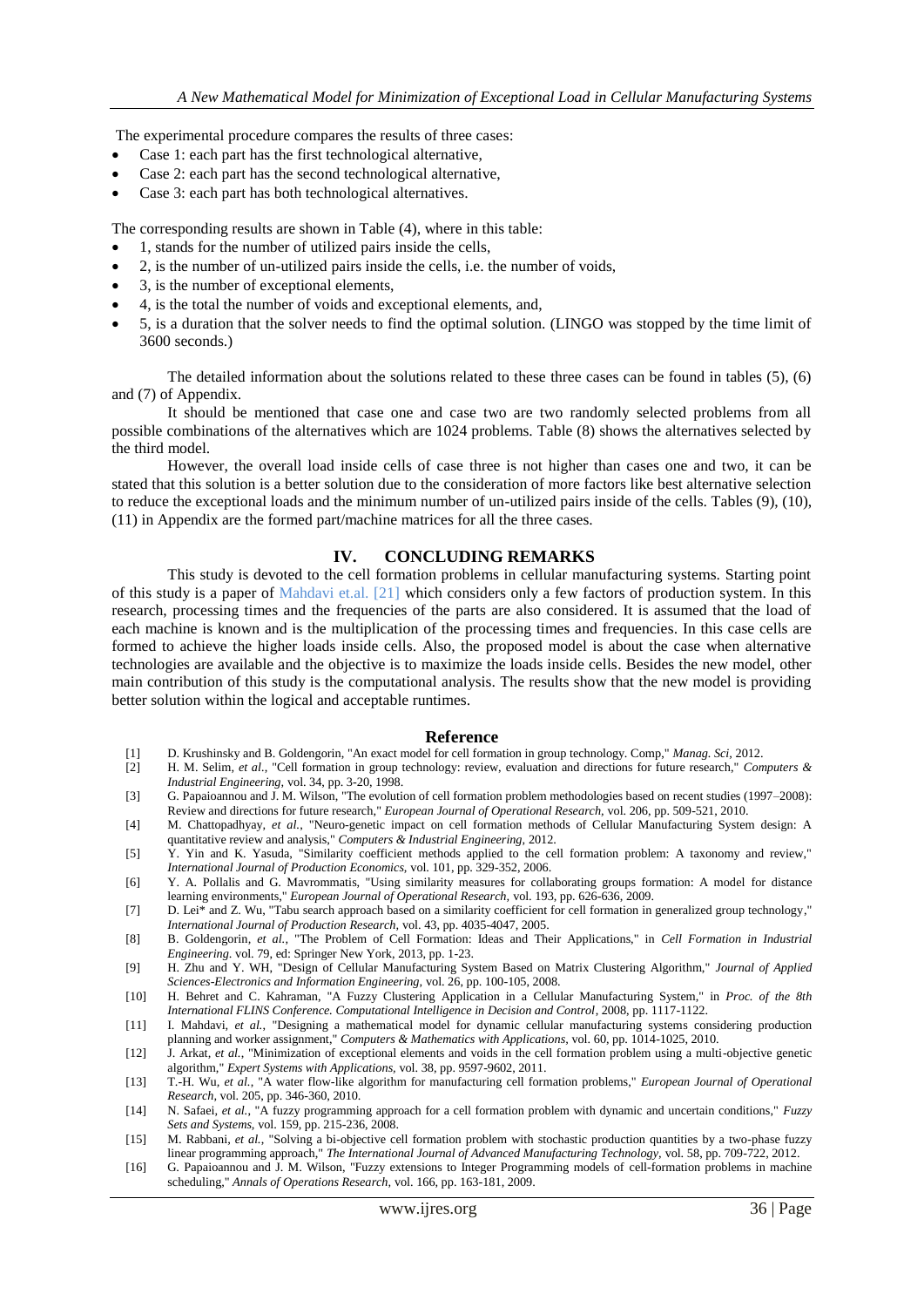The experimental procedure compares the results of three cases:

- Case 1: each part has the first technological alternative,
- Case 2: each part has the second technological alternative,
- Case 3: each part has both technological alternatives.

The corresponding results are shown in Table (4), where in this table:

- 1, stands for the number of utilized pairs inside the cells,
- 2, is the number of un-utilized pairs inside the cells, i.e. the number of voids,
- 3, is the number of exceptional elements,
- 4, is the total the number of voids and exceptional elements, and,
- 5, is a duration that the solver needs to find the optimal solution. (LINGO was stopped by the time limit of 3600 seconds.)

The detailed information about the solutions related to these three cases can be found in tables (5), (6) and (7) of Appendix.

It should be mentioned that case one and case two are two randomly selected problems from all possible combinations of the alternatives which are 1024 problems. Table (8) shows the alternatives selected by the third model.

However, the overall load inside cells of case three is not higher than cases one and two, it can be stated that this solution is a better solution due to the consideration of more factors like best alternative selection to reduce the exceptional loads and the minimum number of un-utilized pairs inside of the cells. Tables (9), (10), (11) in Appendix are the formed part/machine matrices for all the three cases.

## **IV. CONCLUDING REMARKS**

This study is devoted to the cell formation problems in cellular manufacturing systems. Starting point of this study is a paper of Mahdavi et.al. [21] which considers only a few factors of production system. In this research, processing times and the frequencies of the parts are also considered. It is assumed that the load of each machine is known and is the multiplication of the processing times and frequencies. In this case cells are formed to achieve the higher loads inside cells. Also, the proposed model is about the case when alternative technologies are available and the objective is to maximize the loads inside cells. Besides the new model, other main contribution of this study is the computational analysis. The results show that the new model is providing better solution within the logical and acceptable runtimes.

#### **Reference**

- <span id="page-4-0"></span>[1] D. Krushinsky and B. Goldengorin, "An exact model for cell formation in group technology. Comp," *Manag. Sci,* 2012.
- <span id="page-4-1"></span>[2] H. M. Selim*, et al.*, "Cell formation in group technology: review, evaluation and directions for future research," *Computers & Industrial Engineering,* vol. 34, pp. 3-20, 1998.
- <span id="page-4-2"></span>[3] G. Papaioannou and J. M. Wilson, "The evolution of cell formation problem methodologies based on recent studies (1997–2008): Review and directions for future research," *European Journal of Operational Research,* vol. 206, pp. 509-521, 2010.
- [4] M. Chattopadhyay*, et al.*, "Neuro-genetic impact on cell formation methods of Cellular Manufacturing System design: A quantitative review and analysis," *Computers & Industrial Engineering,* 2012.
- [5] Y. Yin and K. Yasuda, "Similarity coefficient methods applied to the cell formation problem: A taxonomy and review," *International Journal of Production Economics,* vol. 101, pp. 329-352, 2006.
- <span id="page-4-3"></span>[6] Y. A. Pollalis and G. Mavrommatis, "Using similarity measures for collaborating groups formation: A model for distance learning environments," *European Journal of Operational Research,* vol. 193, pp. 626-636, 2009.
- [7] D. Lei\* and Z. Wu, "Tabu search approach based on a similarity coefficient for cell formation in generalized group technology," *International Journal of Production Research,* vol. 43, pp. 4035-4047, 2005.
- [8] B. Goldengorin*, et al.*, "The Problem of Cell Formation: Ideas and Their Applications," in *Cell Formation in Industrial Engineering*. vol. 79, ed: Springer New York, 2013, pp. 1-23.
- <span id="page-4-4"></span>[9] H. Zhu and Y. WH, "Design of Cellular Manufacturing System Based on Matrix Clustering Algorithm," *Journal of Applied Sciences-Electronics and Information Engineering,* vol. 26, pp. 100-105, 2008.
- <span id="page-4-5"></span>[10] H. Behret and C. Kahraman, "A Fuzzy Clustering Application in a Cellular Manufacturing System," in *Proc. of the 8th International FLINS Conference. Computational Intelligence in Decision and Control*, 2008, pp. 1117-1122.
- <span id="page-4-6"></span>[11] I. Mahdavi*, et al.*, "Designing a mathematical model for dynamic cellular manufacturing systems considering production planning and worker assignment," *Computers & Mathematics with Applications,* vol. 60, pp. 1014-1025, 2010.
- <span id="page-4-7"></span>[12] J. Arkat*, et al.*, "Minimization of exceptional elements and voids in the cell formation problem using a multi-objective genetic algorithm," *Expert Systems with Applications,* vol. 38, pp. 9597-9602, 2011.
- <span id="page-4-8"></span>[13] T.-H. Wu*, et al.*, "A water flow-like algorithm for manufacturing cell formation problems," *European Journal of Operational Research,* vol. 205, pp. 346-360, 2010.
- <span id="page-4-9"></span>[14] N. Safaei*, et al.*, "A fuzzy programming approach for a cell formation problem with dynamic and uncertain conditions," *Fuzzy Sets and Systems,* vol. 159, pp. 215-236, 2008.
- [15] M. Rabbani*, et al.*, "Solving a bi-objective cell formation problem with stochastic production quantities by a two-phase fuzzy linear programming approach," *The International Journal of Advanced Manufacturing Technology,* vol. 58, pp. 709-722, 2012.
- [16] G. Papaioannou and J. M. Wilson, "Fuzzy extensions to Integer Programming models of cell-formation problems in machine scheduling," *Annals of Operations Research,* vol. 166, pp. 163-181, 2009.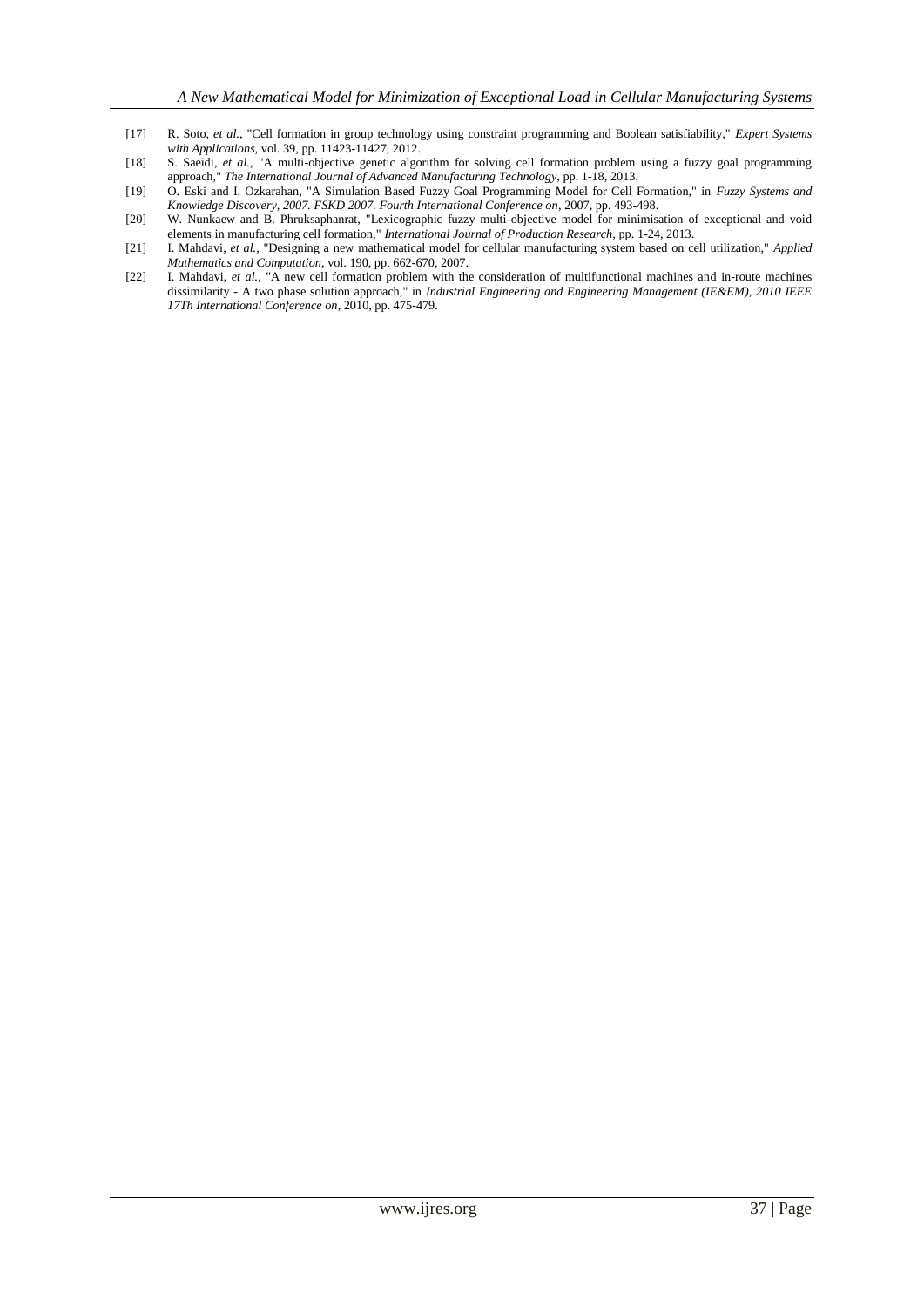- <span id="page-5-0"></span>[17] R. Soto*, et al.*, "Cell formation in group technology using constraint programming and Boolean satisfiability," *Expert Systems with Applications,* vol. 39, pp. 11423-11427, 2012.
- <span id="page-5-1"></span>[18] S. Saeidi*, et al.*, "A multi-objective genetic algorithm for solving cell formation problem using a fuzzy goal programming approach," *The International Journal of Advanced Manufacturing Technology,* pp. 1-18, 2013.
- <span id="page-5-2"></span>[19] O. Eski and I. Ozkarahan, "A Simulation Based Fuzzy Goal Programming Model for Cell Formation," in *Fuzzy Systems and Knowledge Discovery, 2007. FSKD 2007. Fourth International Conference on*, 2007, pp. 493-498.
- <span id="page-5-3"></span>[20] W. Nunkaew and B. Phruksaphanrat, "Lexicographic fuzzy multi-objective model for minimisation of exceptional and void elements in manufacturing cell formation," *International Journal of Production Research,* pp. 1-24, 2013.
- <span id="page-5-4"></span>[21] I. Mahdavi*, et al.*, "Designing a new mathematical model for cellular manufacturing system based on cell utilization," *Applied Mathematics and Computation,* vol. 190, pp. 662-670, 2007.
- <span id="page-5-5"></span>[22] I. Mahdavi*, et al.*, "A new cell formation problem with the consideration of multifunctional machines and in-route machines dissimilarity - A two phase solution approach," in *Industrial Engineering and Engineering Management (IE&EM), 2010 IEEE 17Th International Conference on*, 2010, pp. 475-479.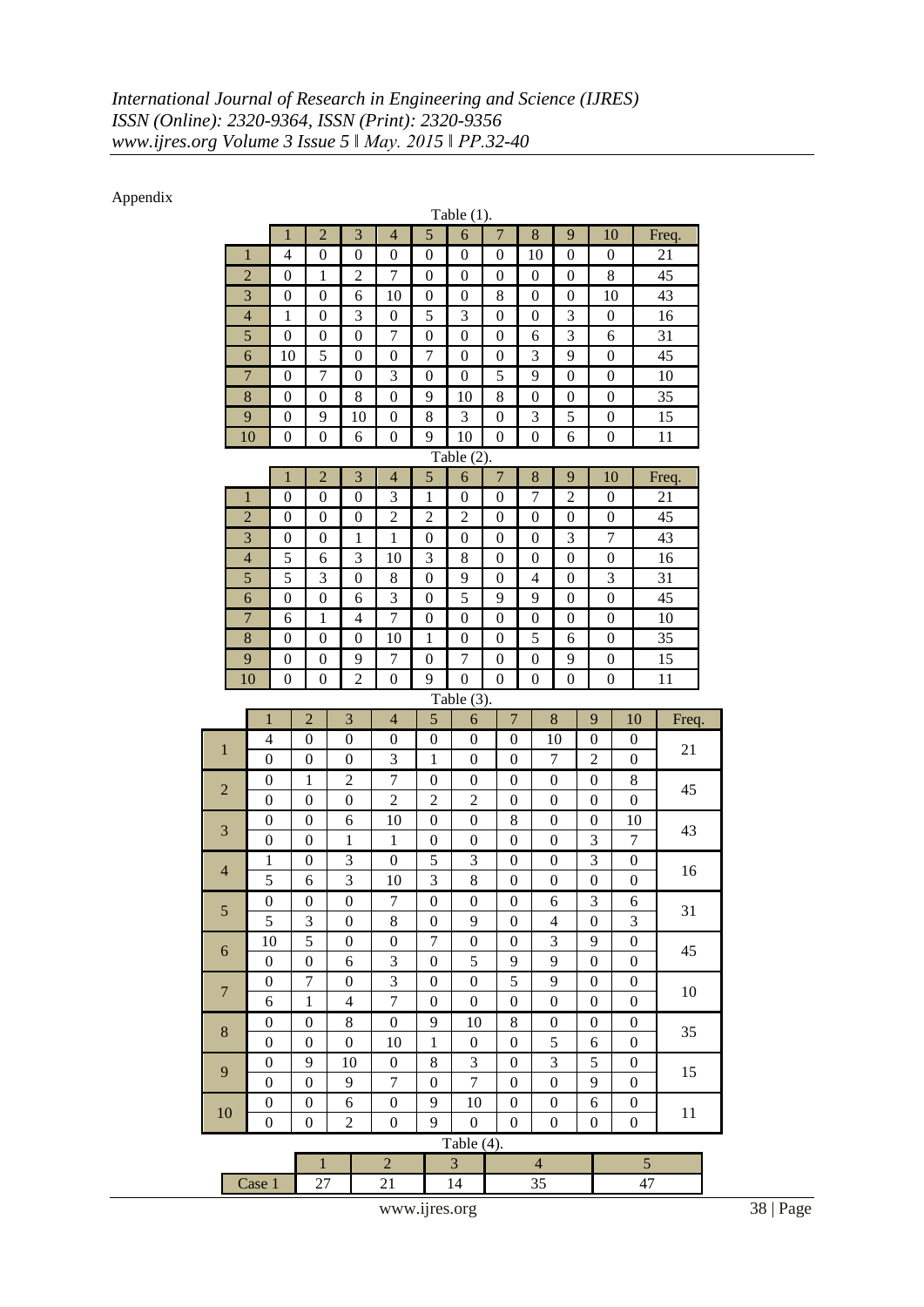## Appendix

| Table $(1)$ .                                              |                                         |                                      |                                      |                  |                        |                                      |                                             |                                      |                  |                       |                       |                                      |       |
|------------------------------------------------------------|-----------------------------------------|--------------------------------------|--------------------------------------|------------------|------------------------|--------------------------------------|---------------------------------------------|--------------------------------------|------------------|-----------------------|-----------------------|--------------------------------------|-------|
|                                                            | $\mathbf{1}$                            | $\overline{2}$                       |                                      | 3                | $\overline{4}$         | 5                                    | 6                                           | $\overline{7}$                       | 8                | 9                     | 10                    |                                      | Freq. |
|                                                            | $\mathbf{1}$<br>$\overline{4}$          | $\boldsymbol{0}$                     |                                      | $\overline{0}$   | $\boldsymbol{0}$       | $\boldsymbol{0}$                     | $\boldsymbol{0}$                            | $\boldsymbol{0}$                     | 10               | $\boldsymbol{0}$      | $\boldsymbol{0}$      |                                      | 21    |
|                                                            | $\overline{c}$<br>0                     |                                      | $\mathbf{1}$                         | $\overline{c}$   | $\boldsymbol{7}$       | $\boldsymbol{0}$                     | $\boldsymbol{0}$                            | 0                                    | 0                | $\boldsymbol{0}$      | 8                     |                                      | 45    |
|                                                            | 3<br>$\overline{0}$<br>$\boldsymbol{0}$ |                                      |                                      | 6                | 10                     | $\boldsymbol{0}$                     | $\boldsymbol{0}$                            | 8                                    | $\boldsymbol{0}$ | $\boldsymbol{0}$      | 10                    |                                      | 43    |
|                                                            | $\overline{4}$<br>$\mathbf{1}$          | $\boldsymbol{0}$                     |                                      | 3                | $\boldsymbol{0}$       | 5                                    | 3                                           | $\boldsymbol{0}$                     | $\boldsymbol{0}$ | $\mathfrak{Z}$        | $\boldsymbol{0}$      |                                      | 16    |
|                                                            | 5<br>$\overline{0}$                     | $\boldsymbol{0}$                     |                                      | $\boldsymbol{0}$ | 7                      | $\boldsymbol{0}$                     | $\boldsymbol{0}$                            | $\boldsymbol{0}$                     | 6                | 3                     | 6                     |                                      | 31    |
|                                                            | 6<br>10                                 | 5                                    |                                      | $\overline{0}$   | $\theta$               | 7                                    | $\theta$                                    | $\overline{0}$                       | 3                | 9                     | $\boldsymbol{0}$      |                                      | 45    |
|                                                            | $\overline{7}$<br>$\boldsymbol{0}$      | $\boldsymbol{7}$                     |                                      | $\boldsymbol{0}$ | 3                      | $\boldsymbol{0}$                     | $\boldsymbol{0}$                            | 5                                    | 9                | $\boldsymbol{0}$      | $\boldsymbol{0}$      |                                      | 10    |
|                                                            | 8<br>0                                  | $\boldsymbol{0}$                     |                                      | 8                | $\boldsymbol{0}$       | 9                                    | 10                                          | 8                                    | $\boldsymbol{0}$ | $\boldsymbol{0}$      | $\boldsymbol{0}$      |                                      | 35    |
|                                                            | 9<br>$\boldsymbol{0}$                   | 9                                    |                                      | 10               | $\boldsymbol{0}$       | 8                                    | 3                                           | $\boldsymbol{0}$                     | 3                | 5                     | $\boldsymbol{0}$      |                                      | 15    |
|                                                            | 10<br>$\boldsymbol{0}$                  | $\boldsymbol{0}$                     |                                      | 6                | $\boldsymbol{0}$       | 9                                    | 10                                          | $\boldsymbol{0}$                     | $\boldsymbol{0}$ | 6                     | $\boldsymbol{0}$      |                                      | 11    |
| Table $(2)$ .                                              |                                         |                                      |                                      |                  |                        |                                      |                                             |                                      |                  |                       |                       |                                      |       |
|                                                            | $\mathbf{1}$                            | $\overline{2}$                       |                                      | 3                | $\overline{4}$         | 5                                    | 6                                           | $\overline{7}$                       | 8                | 9                     | 10                    |                                      | Freq. |
|                                                            | $\mathbf{1}$<br>$\boldsymbol{0}$        | $\boldsymbol{0}$                     |                                      | $\overline{0}$   | 3                      | 1                                    | $\boldsymbol{0}$                            | $\boldsymbol{0}$                     | $\overline{7}$   | $\overline{c}$        | $\boldsymbol{0}$      |                                      | 21    |
|                                                            | $\overline{c}$<br>0                     | $\boldsymbol{0}$                     |                                      | $\boldsymbol{0}$ | $\overline{c}$         | $\overline{c}$                       | $\overline{c}$                              | 0                                    | 0                | $\boldsymbol{0}$      | $\boldsymbol{0}$      |                                      | 45    |
|                                                            | 3<br>0                                  | $\boldsymbol{0}$                     |                                      | 1                | $\mathbf{1}$           | $\boldsymbol{0}$                     | $\boldsymbol{0}$                            | $\boldsymbol{0}$                     | $\boldsymbol{0}$ | 3                     | 7                     |                                      | 43    |
|                                                            | $\overline{4}$<br>5                     | 6                                    |                                      | 3                | 10                     | 3                                    | 8                                           | $\boldsymbol{0}$                     | $\boldsymbol{0}$ | $\boldsymbol{0}$      | $\boldsymbol{0}$      |                                      | 16    |
|                                                            | 5<br>5                                  | 3                                    |                                      | $\boldsymbol{0}$ | 8                      | $\boldsymbol{0}$                     | 9                                           | $\boldsymbol{0}$                     | 4                | $\boldsymbol{0}$      | 3                     |                                      | 31    |
|                                                            | 6<br>$\overline{0}$                     | $\overline{0}$                       |                                      | 6                | 3                      | $\overline{0}$                       | 5                                           | 9                                    | 9                | $\overline{0}$        | $\boldsymbol{0}$      |                                      | 45    |
|                                                            | $\overline{7}$<br>6                     | $\mathbf{1}$                         |                                      | $\overline{4}$   | $\overline{7}$         | $\boldsymbol{0}$                     | $\boldsymbol{0}$                            | $\boldsymbol{0}$                     | $\boldsymbol{0}$ | $\boldsymbol{0}$      | $\boldsymbol{0}$      |                                      | 10    |
|                                                            | $\,8\,$<br>$\boldsymbol{0}$             | $\boldsymbol{0}$                     |                                      | $\boldsymbol{0}$ | 10                     | 1                                    | $\boldsymbol{0}$                            | $\boldsymbol{0}$                     | 5                | 6                     | $\boldsymbol{0}$      |                                      | 35    |
|                                                            | 9<br>$\boldsymbol{0}$                   | $\boldsymbol{0}$                     |                                      | 9                | 7                      | $\boldsymbol{0}$                     | 7                                           | $\boldsymbol{0}$                     | $\boldsymbol{0}$ | 9                     | $\boldsymbol{0}$      |                                      | 15    |
|                                                            | 10<br>$\boldsymbol{0}$                  |                                      | $\boldsymbol{0}$                     | $\overline{c}$   | $\boldsymbol{0}$       | 9                                    | $\boldsymbol{0}$                            | $\boldsymbol{0}$                     | $\boldsymbol{0}$ | $\boldsymbol{0}$      | $\boldsymbol{0}$      |                                      | 11    |
|                                                            |                                         |                                      |                                      |                  |                        |                                      | Table (3).                                  |                                      |                  |                       |                       |                                      |       |
|                                                            | $\mathbf{1}$                            | $\overline{2}$                       | $\overline{3}$                       |                  | $\overline{4}$         | $\overline{5}$                       | 6                                           | $\overline{7}$                       |                  | 8                     | 9                     | 10                                   | Freq. |
| $\,1\,$                                                    | $\overline{4}$                          | $\boldsymbol{0}$                     | $\boldsymbol{0}$                     |                  | $\boldsymbol{0}$       | $\boldsymbol{0}$                     | $\boldsymbol{0}$                            | $\boldsymbol{0}$                     |                  | 10                    | 0                     | $\boldsymbol{0}$                     | 21    |
|                                                            | $\boldsymbol{0}$                        | $\boldsymbol{0}$                     | 0                                    |                  | 3                      | 1                                    | $\boldsymbol{0}$                            | $\mathbf{0}$                         |                  | 7                     | $\overline{c}$        | $\boldsymbol{0}$                     |       |
| $\overline{c}$                                             | 0                                       | 1                                    | $\overline{c}$                       |                  | $\boldsymbol{7}$       | 0                                    | $\boldsymbol{0}$                            | $\boldsymbol{0}$                     |                  | $\mathbf{0}$          | 0                     | 8                                    | 45    |
|                                                            | $\boldsymbol{0}$                        | $\boldsymbol{0}$                     | $\boldsymbol{0}$                     |                  | $\mathfrak{2}$         | $\overline{c}$                       | $\overline{c}$                              | $\boldsymbol{0}$                     |                  | $\boldsymbol{0}$      | $\boldsymbol{0}$      | $\boldsymbol{0}$                     |       |
| 3                                                          | $\boldsymbol{0}$                        | $\boldsymbol{0}$                     | 6                                    |                  | 10                     | $\boldsymbol{0}$                     | $\boldsymbol{0}$                            | 8                                    |                  | $\boldsymbol{0}$      | $\boldsymbol{0}$      | 10                                   | 43    |
|                                                            | $\boldsymbol{0}$                        | $\overline{0}$                       | 1                                    |                  | $\mathbf{1}$           | 0                                    | $\boldsymbol{0}$                            | $\boldsymbol{0}$                     |                  | $\boldsymbol{0}$      | 3                     | 7                                    |       |
| $\overline{4}$                                             | $\mathbf 1$                             | $\boldsymbol{0}$                     | 3                                    |                  | $\boldsymbol{0}$       | 5                                    | 3                                           | $\boldsymbol{0}$                     |                  | $\boldsymbol{0}$      | 3                     | $\boldsymbol{0}$                     | 16    |
|                                                            | 5                                       | 6                                    | 3                                    |                  | 10                     | 3                                    | $\,8$                                       | $\boldsymbol{0}$                     |                  | $\boldsymbol{0}$      | $\boldsymbol{0}$      | $\boldsymbol{0}$                     |       |
| 5                                                          | $\overline{0}$                          | $\overline{0}$                       | $\boldsymbol{0}$                     |                  | $\tau$                 | $\boldsymbol{0}$                     | $\boldsymbol{0}$                            | $\boldsymbol{0}$                     |                  | 6                     | 3                     | 6                                    | 31    |
|                                                            | $\sqrt{5}$                              | 3<br>5                               | $\boldsymbol{0}$<br>$\boldsymbol{0}$ |                  | $\,8$<br>0             |                                      | 9                                           | $\boldsymbol{0}$<br>$\boldsymbol{0}$ |                  | $\overline{4}$<br>3   | $\boldsymbol{0}$<br>9 | 3                                    |       |
| 6                                                          | 10<br>$\boldsymbol{0}$                  | $\boldsymbol{0}$                     | 6                                    |                  | $\boldsymbol{0}$<br>3  | $\boldsymbol{7}$<br>$\boldsymbol{0}$ | $\boldsymbol{0}$<br>5                       | 9                                    |                  | 9                     | $\boldsymbol{0}$      | $\boldsymbol{0}$<br>$\boldsymbol{0}$ | 45    |
|                                                            | $\boldsymbol{0}$                        | $\sqrt{ }$                           |                                      |                  | $\mathfrak{Z}$         | $\boldsymbol{0}$                     | $\boldsymbol{0}$                            | $\overline{5}$                       |                  | $\overline{9}$        | $\boldsymbol{0}$      |                                      |       |
| $\boldsymbol{7}$                                           |                                         | $\mathbf{1}$                         | $\boldsymbol{0}$                     |                  | $\boldsymbol{7}$       |                                      |                                             |                                      |                  |                       |                       | $\boldsymbol{0}$                     | 10    |
|                                                            | 6                                       |                                      | $\overline{\mathbf{4}}$              |                  |                        | $\boldsymbol{0}$                     | $\boldsymbol{0}$                            | $\boldsymbol{0}$                     |                  | $\boldsymbol{0}$      | $\boldsymbol{0}$      | $\boldsymbol{0}$                     |       |
| $\,8$                                                      | $\boldsymbol{0}$<br>$\boldsymbol{0}$    | $\boldsymbol{0}$<br>$\boldsymbol{0}$ | 8<br>$\boldsymbol{0}$                |                  | $\boldsymbol{0}$       | 9<br>$\mathbf{1}$                    | 10                                          | $\,$ 8 $\,$                          |                  | $\boldsymbol{0}$<br>5 | $\boldsymbol{0}$      | $\boldsymbol{0}$                     | 35    |
|                                                            | $\boldsymbol{0}$                        | 9                                    | 10                                   |                  | 10<br>$\boldsymbol{0}$ | 8                                    | $\boldsymbol{0}$<br>$\overline{\mathbf{3}}$ | $\boldsymbol{0}$<br>$\boldsymbol{0}$ |                  | $\overline{3}$        | 6<br>5                | $\boldsymbol{0}$<br>$\boldsymbol{0}$ |       |
| 9                                                          | $\boldsymbol{0}$                        | $\mathbf{0}$                         | 9                                    |                  | $\overline{7}$         | $\boldsymbol{0}$                     | $\overline{7}$                              | $\boldsymbol{0}$                     |                  | $\boldsymbol{0}$      | 9                     | $\boldsymbol{0}$                     | 15    |
|                                                            | $\boldsymbol{0}$                        | $\boldsymbol{0}$                     | 6                                    |                  | $\boldsymbol{0}$       | 9                                    | 10                                          | $\boldsymbol{0}$                     |                  | $\boldsymbol{0}$      | 6                     | $\boldsymbol{0}$                     |       |
| 10                                                         | $\boldsymbol{0}$                        | $\boldsymbol{0}$                     | $\overline{c}$                       |                  | $\boldsymbol{0}$       | 9                                    | $\boldsymbol{0}$                            | $\boldsymbol{0}$                     |                  | $\overline{0}$        | 0                     | $\boldsymbol{0}$                     | 11    |
| Table (4).                                                 |                                         |                                      |                                      |                  |                        |                                      |                                             |                                      |                  |                       |                       |                                      |       |
| $\overline{2}$<br>3<br>5<br>$\mathbf{1}$<br>$\overline{4}$ |                                         |                                      |                                      |                  |                        |                                      |                                             |                                      |                  |                       |                       |                                      |       |
|                                                            | Case 1                                  | $27\,$                               |                                      |                  | 21                     |                                      | 14                                          |                                      | 35               |                       |                       | 47                                   |       |
|                                                            |                                         |                                      |                                      |                  |                        |                                      |                                             |                                      |                  |                       |                       |                                      |       |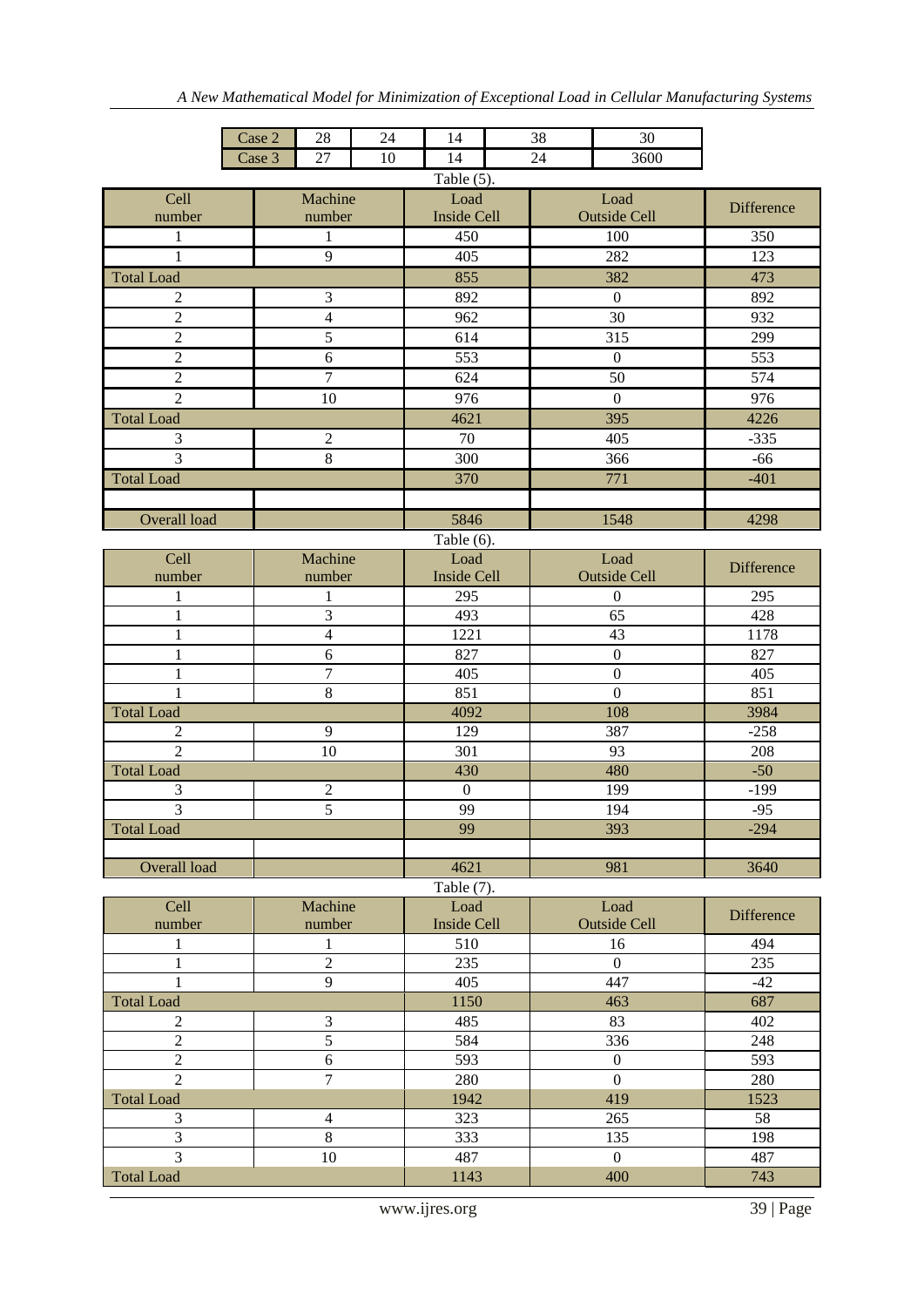|                                  | Case 2              | 28             | 24  | 14                 | 38   | 30                  |                   |  |  |  |  |
|----------------------------------|---------------------|----------------|-----|--------------------|------|---------------------|-------------------|--|--|--|--|
|                                  | Case 3              | 27<br>10       |     | 14                 | 24   | 3600                |                   |  |  |  |  |
| Table $(5)$ .<br>Machine<br>Load |                     |                |     |                    |      |                     |                   |  |  |  |  |
| Cell                             |                     |                |     |                    |      |                     |                   |  |  |  |  |
| number                           |                     | number         |     | <b>Inside Cell</b> |      | <b>Outside Cell</b> | <b>Difference</b> |  |  |  |  |
| 1                                |                     | 1              |     | 450                |      | 100                 | 350               |  |  |  |  |
| $\mathbf{1}$                     |                     | 9              |     | 405                |      | 282                 | 123               |  |  |  |  |
| <b>Total Load</b>                |                     |                |     | 855                |      | 382                 | 473               |  |  |  |  |
| $\overline{c}$                   |                     | 3              |     | 892                |      | $\boldsymbol{0}$    | 892               |  |  |  |  |
| $\overline{2}$                   |                     | $\overline{4}$ |     | 962                |      | $\overline{30}$     | 932               |  |  |  |  |
| $\sqrt{2}$                       |                     | 5              |     | 614                |      | 315                 | 299               |  |  |  |  |
| $\overline{c}$                   |                     | 6              |     | 553                |      | $\boldsymbol{0}$    | 553               |  |  |  |  |
| $\overline{2}$                   |                     | $\overline{7}$ |     | 624                |      | $\overline{50}$     | $\overline{574}$  |  |  |  |  |
| $\overline{2}$                   |                     |                |     |                    |      |                     |                   |  |  |  |  |
|                                  |                     | 10             |     | 976                |      | $\boldsymbol{0}$    | 976               |  |  |  |  |
| <b>Total Load</b>                |                     |                |     | 4621               |      | 395                 | 4226              |  |  |  |  |
| 3                                |                     | $\overline{c}$ |     | 70                 |      | 405                 | $-335$            |  |  |  |  |
| $\overline{3}$                   |                     | 8              |     | 300                |      | 366                 | $-66$             |  |  |  |  |
| <b>Total Load</b>                |                     |                |     | 370                |      | 771                 | $-401$            |  |  |  |  |
|                                  |                     |                |     |                    |      |                     |                   |  |  |  |  |
| Overall load                     |                     |                |     | 5846               |      | 1548                | 4298              |  |  |  |  |
|                                  |                     |                |     | Table $(6)$ .      |      |                     |                   |  |  |  |  |
| Cell                             |                     | Machine        |     | Load               |      | Load                |                   |  |  |  |  |
| number                           |                     | number         |     | <b>Inside Cell</b> |      | <b>Outside Cell</b> | Difference        |  |  |  |  |
| 1                                |                     | 1              |     | 295                |      | $\boldsymbol{0}$    | 295               |  |  |  |  |
| 1                                |                     | $\overline{3}$ |     | 493                |      | $\overline{65}$     | 428               |  |  |  |  |
| $\mathbf{1}$                     |                     | $\overline{4}$ |     | 1221               |      | 43                  | 1178              |  |  |  |  |
| $\mathbf{1}$                     |                     | 6              |     | 827                |      | $\boldsymbol{0}$    | 827               |  |  |  |  |
| $\mathbf{1}$                     |                     | $\tau$         |     | 405                |      | $\boldsymbol{0}$    | 405               |  |  |  |  |
| 1                                |                     | $\,8\,$        |     | 851                |      | $\overline{0}$      | 851               |  |  |  |  |
| <b>Total Load</b>                |                     |                |     | 4092               |      | 108                 | 3984              |  |  |  |  |
| 2                                |                     | 9              |     | 129                |      | 387                 | $-258$            |  |  |  |  |
| $\overline{2}$                   |                     | 10             |     | 301                |      | 93                  | 208               |  |  |  |  |
| <b>Total Load</b>                |                     |                |     | 430                |      | 480                 | $-50$             |  |  |  |  |
| 3                                |                     | $\overline{2}$ |     | $\boldsymbol{0}$   |      | 199                 | $-199$            |  |  |  |  |
| 3                                |                     | $\overline{5}$ |     | 99                 |      | 194                 | $-95$             |  |  |  |  |
| <b>Total Load</b>                |                     |                |     | 99                 |      | 393                 | $-294$            |  |  |  |  |
|                                  |                     |                |     |                    |      |                     |                   |  |  |  |  |
| Overall load                     |                     |                |     | 4621               |      | 981                 | 3640              |  |  |  |  |
|                                  |                     |                |     | Table (7).         |      |                     |                   |  |  |  |  |
| Cell                             |                     | Machine        |     | Load               |      | Load                |                   |  |  |  |  |
| number                           |                     | number         |     | <b>Inside Cell</b> |      | <b>Outside Cell</b> | Difference        |  |  |  |  |
| 1                                |                     | 1              |     | 510                |      | 16                  | 494               |  |  |  |  |
| $\mathbf{1}$                     |                     | $\overline{2}$ |     | 235                |      | $\boldsymbol{0}$    | 235               |  |  |  |  |
| 1                                |                     | 9              |     | 405                |      | 447                 | $-42$             |  |  |  |  |
| <b>Total Load</b>                |                     |                |     | 1150               |      | 463                 | 687               |  |  |  |  |
| $\mathbf{2}$                     |                     | $\mathfrak{Z}$ |     | 485                |      | 83                  | 402               |  |  |  |  |
| 5<br>$\overline{2}$              |                     |                | 584 |                    | 336  | 248                 |                   |  |  |  |  |
|                                  | $\overline{2}$<br>6 |                |     | 593                |      | $\boldsymbol{0}$    | 593               |  |  |  |  |
| $\overline{2}$                   | $\overline{7}$      |                |     |                    |      | $\overline{0}$      | 280               |  |  |  |  |
|                                  |                     |                |     |                    | 1942 | 419                 | 1523              |  |  |  |  |
|                                  | <b>Total Load</b>   |                |     |                    |      | 265                 | 58                |  |  |  |  |
| 3                                | 3<br>$\overline{4}$ |                |     |                    |      |                     | 198               |  |  |  |  |
| $\overline{3}$                   |                     | $8\,$          |     | 333                |      | 135                 |                   |  |  |  |  |
|                                  |                     | $10\,$         |     | 487                |      | $\overline{0}$      | 487               |  |  |  |  |
| <b>Total Load</b>                |                     |                |     | 1143               |      | 400                 | 743               |  |  |  |  |